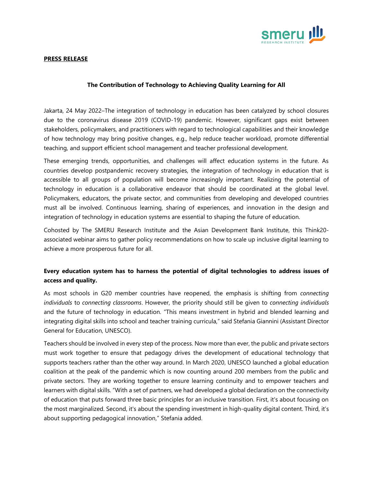

## **PRESS RELEASE**

### **The Contribution of Technology to Achieving Quality Learning for All**

Jakarta, 24 May 2022–The integration of technology in education has been catalyzed by school closures due to the coronavirus disease 2019 (COVID-19) pandemic. However, significant gaps exist between stakeholders, policymakers, and practitioners with regard to technological capabilities and their knowledge of how technology may bring positive changes, e.g., help reduce teacher workload, promote differential teaching, and support efficient school management and teacher professional development.

These emerging trends, opportunities, and challenges will affect education systems in the future. As countries develop postpandemic recovery strategies, the integration of technology in education that is accessible to all groups of population will become increasingly important. Realizing the potential of technology in education is a collaborative endeavor that should be coordinated at the global level. Policymakers, educators, the private sector, and communities from developing and developed countries must all be involved. Continuous learning, sharing of experiences, and innovation in the design and integration of technology in education systems are essential to shaping the future of education.

Cohosted by The SMERU Research Institute and the Asian Development Bank Institute, this Think20 associated webinar aims to gather policy recommendations on how to scale up inclusive digital learning to achieve a more prosperous future for all.

# **Every education system has to harness the potential of digital technologies to address issues of access and quality.**

As most schools in G20 member countries have reopened, the emphasis is shifting from *connecting individuals* to *connecting classrooms*. However, the priority should still be given to *connecting individuals* and the future of technology in education. "This means investment in hybrid and blended learning and integrating digital skills into school and teacher training curricula," said Stefania Giannini (Assistant Director General for Education, UNESCO).

Teachers should be involved in every step of the process. Now more than ever, the public and private sectors must work together to ensure that pedagogy drives the development of educational technology that supports teachers rather than the other way around. In March 2020, UNESCO launched a global education coalition at the peak of the pandemic which is now counting around 200 members from the public and private sectors. They are working together to ensure learning continuity and to empower teachers and learners with digital skills. "With a set of partners, we had developed a global declaration on the connectivity of education that puts forward three basic principles for an inclusive transition. First, it's about focusing on the most marginalized. Second, it's about the spending investment in high-quality digital content. Third, it's about supporting pedagogical innovation," Stefania added.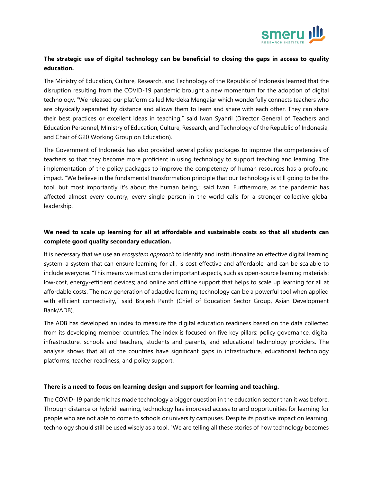

# **The strategic use of digital technology can be beneficial to closing the gaps in access to quality education.**

The Ministry of Education, Culture, Research, and Technology of the Republic of Indonesia learned that the disruption resulting from the COVID-19 pandemic brought a new momentum for the adoption of digital technology. "We released our platform called Merdeka Mengajar which wonderfully connects teachers who are physically separated by distance and allows them to learn and share with each other. They can share their best practices or excellent ideas in teaching," said Iwan Syahril (Director General of Teachers and Education Personnel, Ministry of Education, Culture, Research, and Technology of the Republic of Indonesia, and Chair of G20 Working Group on Education).

The Government of Indonesia has also provided several policy packages to improve the competencies of teachers so that they become more proficient in using technology to support teaching and learning. The implementation of the policy packages to improve the competency of human resources has a profound impact. "We believe in the fundamental transformation principle that our technology is still going to be the tool, but most importantly it's about the human being," said Iwan. Furthermore, as the pandemic has affected almost every country, every single person in the world calls for a stronger collective global leadership.

# **We need to scale up learning for all at affordable and sustainable costs so that all students can complete good quality secondary education.**

It is necessary that we use an *ecosystem approach* to identify and institutionalize an effective digital learning system–a system that can ensure learning for all, is cost-effective and affordable, and can be scalable to include everyone. "This means we must consider important aspects, such as open-source learning materials; low-cost, energy-efficient devices; and online and offline support that helps to scale up learning for all at affordable costs. The new generation of adaptive learning technology can be a powerful tool when applied with efficient connectivity," said Brajesh Panth (Chief of Education Sector Group, Asian Development Bank/ADB).

The ADB has developed an index to measure the digital education readiness based on the data collected from its developing member countries. The index is focused on five key pillars: policy governance, digital infrastructure, schools and teachers, students and parents, and educational technology providers. The analysis shows that all of the countries have significant gaps in infrastructure, educational technology platforms, teacher readiness, and policy support.

## **There is a need to focus on learning design and support for learning and teaching.**

The COVID-19 pandemic has made technology a bigger question in the education sector than it was before. Through distance or hybrid learning, technology has improved access to and opportunities for learning for people who are not able to come to schools or university campuses. Despite its positive impact on learning, technology should still be used wisely as a tool. "We are telling all these stories of how technology becomes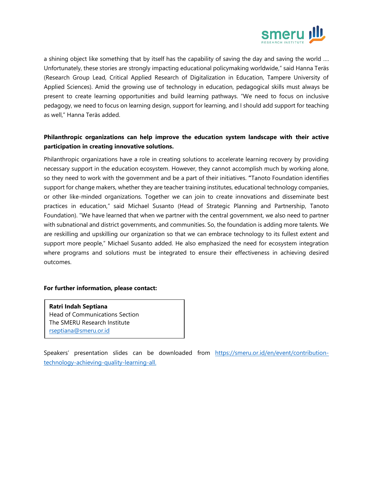

a shining object like something that by itself has the capability of saving the day and saving the world .... Unfortunately, these stories are strongly impacting educational policymaking worldwide," said Hanna Teräs (Research Group Lead, Critical Applied Research of Digitalization in Education, Tampere University of Applied Sciences). Amid the growing use of technology in education, pedagogical skills must always be present to create learning opportunities and build learning pathways. "We need to focus on inclusive pedagogy, we need to focus on learning design, support for learning, and I should add support for teaching as well," Hanna Teräs added.

# **Philanthropic organizations can help improve the education system landscape with their active participation in creating innovative solutions.**

Philanthropic organizations have a role in creating solutions to accelerate learning recovery by providing necessary support in the education ecosystem. However, they cannot accomplish much by working alone, so they need to work with the government and be a part of their initiatives. **"**Tanoto Foundation identifies support for change makers, whether they are teacher training institutes, educational technology companies, or other like-minded organizations. Together we can join to create innovations and disseminate best practices in education," said Michael Susanto (Head of Strategic Planning and Partnership, Tanoto Foundation). "We have learned that when we partner with the central government, we also need to partner with subnational and district governments, and communities. So, the foundation is adding more talents. We are reskilling and upskilling our organization so that we can embrace technology to its fullest extent and support more people," Michael Susanto added. He also emphasized the need for ecosystem integration where programs and solutions must be integrated to ensure their effectiveness in achieving desired outcomes.

#### **For further information, please contact:**

**Ratri Indah Septiana** Head of Communications Section The SMERU Research Institute [rseptiana@smeru.or.id](mailto:rseptiana@smeru.or.id)

<u>081614141414141414</u>

Speakers' presentation slides can be downloaded from [https://smeru.or.id/en/event/contribution](https://smeru.or.id/en/event/contribution-technology-achieving-quality-learning-all)[technology-achieving-quality-learning-all.](https://smeru.or.id/en/event/contribution-technology-achieving-quality-learning-all)